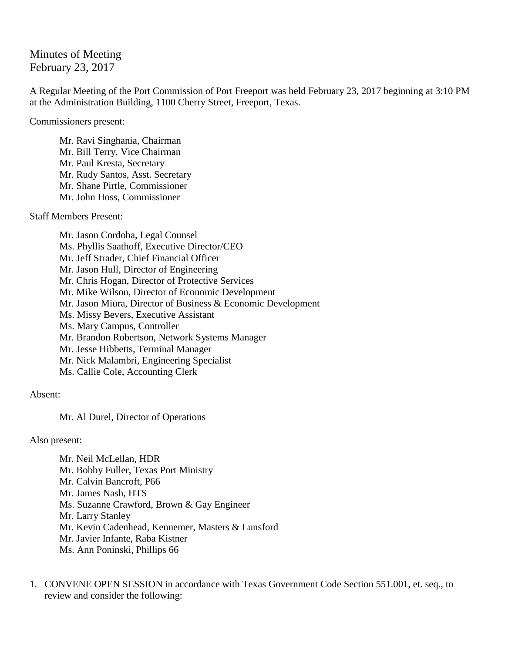## Minutes of Meeting February 23, 2017

A Regular Meeting of the Port Commission of Port Freeport was held February 23, 2017 beginning at 3:10 PM at the Administration Building, 1100 Cherry Street, Freeport, Texas.

Commissioners present:

Mr. Ravi Singhania, Chairman Mr. Bill Terry, Vice Chairman Mr. Paul Kresta, Secretary Mr. Rudy Santos, Asst. Secretary Mr. Shane Pirtle, Commissioner Mr. John Hoss, Commissioner

Staff Members Present:

Mr. Jason Cordoba, Legal Counsel Ms. Phyllis Saathoff, Executive Director/CEO Mr. Jeff Strader, Chief Financial Officer Mr. Jason Hull, Director of Engineering Mr. Chris Hogan, Director of Protective Services Mr. Mike Wilson, Director of Economic Development Mr. Jason Miura, Director of Business & Economic Development Ms. Missy Bevers, Executive Assistant Ms. Mary Campus, Controller Mr. Brandon Robertson, Network Systems Manager Mr. Jesse Hibbetts, Terminal Manager Mr. Nick Malambri, Engineering Specialist Ms. Callie Cole, Accounting Clerk

Absent:

Mr. Al Durel, Director of Operations

Also present:

Mr. Neil McLellan, HDR Mr. Bobby Fuller, Texas Port Ministry Mr. Calvin Bancroft, P66 Mr. James Nash, HTS Ms. Suzanne Crawford, Brown & Gay Engineer Mr. Larry Stanley Mr. Kevin Cadenhead, Kennemer, Masters & Lunsford Mr. Javier Infante, Raba Kistner Ms. Ann Poninski, Phillips 66

1. CONVENE OPEN SESSION in accordance with Texas Government Code Section 551.001, et. seq., to review and consider the following: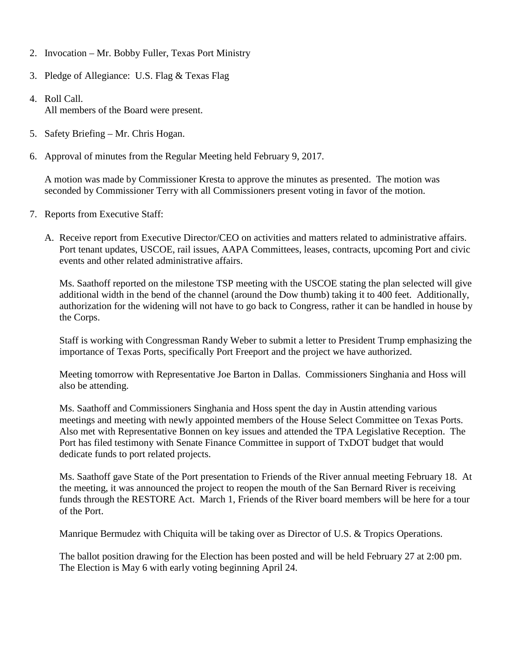- 2. Invocation Mr. Bobby Fuller, Texas Port Ministry
- 3. Pledge of Allegiance: U.S. Flag & Texas Flag
- 4. Roll Call. All members of the Board were present.
- 5. Safety Briefing Mr. Chris Hogan.
- 6. Approval of minutes from the Regular Meeting held February 9, 2017.

A motion was made by Commissioner Kresta to approve the minutes as presented. The motion was seconded by Commissioner Terry with all Commissioners present voting in favor of the motion.

- 7. Reports from Executive Staff:
	- A. Receive report from Executive Director/CEO on activities and matters related to administrative affairs. Port tenant updates, USCOE, rail issues, AAPA Committees, leases, contracts, upcoming Port and civic events and other related administrative affairs.

Ms. Saathoff reported on the milestone TSP meeting with the USCOE stating the plan selected will give additional width in the bend of the channel (around the Dow thumb) taking it to 400 feet. Additionally, authorization for the widening will not have to go back to Congress, rather it can be handled in house by the Corps.

Staff is working with Congressman Randy Weber to submit a letter to President Trump emphasizing the importance of Texas Ports, specifically Port Freeport and the project we have authorized.

Meeting tomorrow with Representative Joe Barton in Dallas. Commissioners Singhania and Hoss will also be attending.

Ms. Saathoff and Commissioners Singhania and Hoss spent the day in Austin attending various meetings and meeting with newly appointed members of the House Select Committee on Texas Ports. Also met with Representative Bonnen on key issues and attended the TPA Legislative Reception. The Port has filed testimony with Senate Finance Committee in support of TxDOT budget that would dedicate funds to port related projects.

Ms. Saathoff gave State of the Port presentation to Friends of the River annual meeting February 18. At the meeting, it was announced the project to reopen the mouth of the San Bernard River is receiving funds through the RESTORE Act. March 1, Friends of the River board members will be here for a tour of the Port.

Manrique Bermudez with Chiquita will be taking over as Director of U.S. & Tropics Operations.

The ballot position drawing for the Election has been posted and will be held February 27 at 2:00 pm. The Election is May 6 with early voting beginning April 24.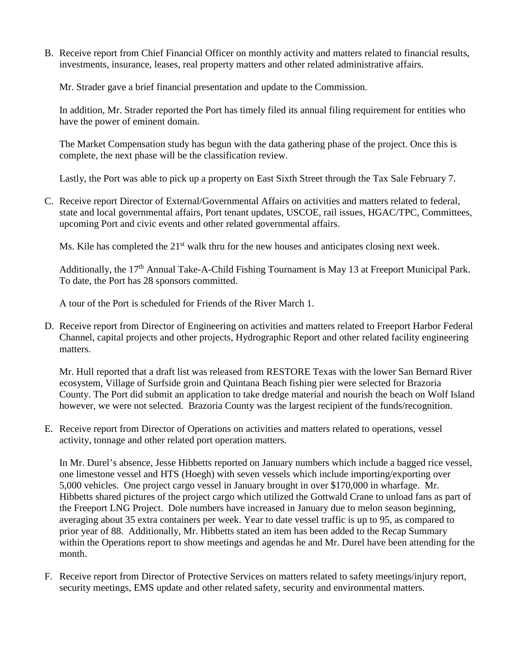B. Receive report from Chief Financial Officer on monthly activity and matters related to financial results, investments, insurance, leases, real property matters and other related administrative affairs.

Mr. Strader gave a brief financial presentation and update to the Commission.

In addition, Mr. Strader reported the Port has timely filed its annual filing requirement for entities who have the power of eminent domain.

The Market Compensation study has begun with the data gathering phase of the project. Once this is complete, the next phase will be the classification review.

Lastly, the Port was able to pick up a property on East Sixth Street through the Tax Sale February 7.

C. Receive report Director of External/Governmental Affairs on activities and matters related to federal, state and local governmental affairs, Port tenant updates, USCOE, rail issues, HGAC/TPC, Committees, upcoming Port and civic events and other related governmental affairs.

Ms. Kile has completed the  $21<sup>st</sup>$  walk thru for the new houses and anticipates closing next week.

Additionally, the 17<sup>th</sup> Annual Take-A-Child Fishing Tournament is May 13 at Freeport Municipal Park. To date, the Port has 28 sponsors committed.

A tour of the Port is scheduled for Friends of the River March 1.

D. Receive report from Director of Engineering on activities and matters related to Freeport Harbor Federal Channel, capital projects and other projects, Hydrographic Report and other related facility engineering matters.

Mr. Hull reported that a draft list was released from RESTORE Texas with the lower San Bernard River ecosystem, Village of Surfside groin and Quintana Beach fishing pier were selected for Brazoria County. The Port did submit an application to take dredge material and nourish the beach on Wolf Island however, we were not selected. Brazoria County was the largest recipient of the funds/recognition.

E. Receive report from Director of Operations on activities and matters related to operations, vessel activity, tonnage and other related port operation matters.

In Mr. Durel's absence, Jesse Hibbetts reported on January numbers which include a bagged rice vessel, one limestone vessel and HTS (Hoegh) with seven vessels which include importing/exporting over 5,000 vehicles. One project cargo vessel in January brought in over \$170,000 in wharfage. Mr. Hibbetts shared pictures of the project cargo which utilized the Gottwald Crane to unload fans as part of the Freeport LNG Project. Dole numbers have increased in January due to melon season beginning, averaging about 35 extra containers per week. Year to date vessel traffic is up to 95, as compared to prior year of 88. Additionally, Mr. Hibbetts stated an item has been added to the Recap Summary within the Operations report to show meetings and agendas he and Mr. Durel have been attending for the month.

F. Receive report from Director of Protective Services on matters related to safety meetings/injury report, security meetings, EMS update and other related safety, security and environmental matters.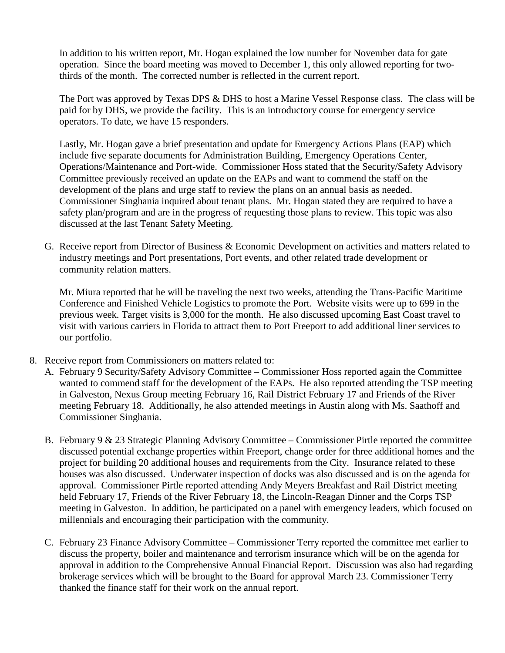In addition to his written report, Mr. Hogan explained the low number for November data for gate operation. Since the board meeting was moved to December 1, this only allowed reporting for twothirds of the month. The corrected number is reflected in the current report.

The Port was approved by Texas DPS & DHS to host a Marine Vessel Response class. The class will be paid for by DHS, we provide the facility. This is an introductory course for emergency service operators. To date, we have 15 responders.

Lastly, Mr. Hogan gave a brief presentation and update for Emergency Actions Plans (EAP) which include five separate documents for Administration Building, Emergency Operations Center, Operations/Maintenance and Port-wide. Commissioner Hoss stated that the Security/Safety Advisory Committee previously received an update on the EAPs and want to commend the staff on the development of the plans and urge staff to review the plans on an annual basis as needed. Commissioner Singhania inquired about tenant plans. Mr. Hogan stated they are required to have a safety plan/program and are in the progress of requesting those plans to review. This topic was also discussed at the last Tenant Safety Meeting.

G. Receive report from Director of Business & Economic Development on activities and matters related to industry meetings and Port presentations, Port events, and other related trade development or community relation matters.

Mr. Miura reported that he will be traveling the next two weeks, attending the Trans-Pacific Maritime Conference and Finished Vehicle Logistics to promote the Port. Website visits were up to 699 in the previous week. Target visits is 3,000 for the month. He also discussed upcoming East Coast travel to visit with various carriers in Florida to attract them to Port Freeport to add additional liner services to our portfolio.

- 8. Receive report from Commissioners on matters related to:
	- A. February 9 Security/Safety Advisory Committee Commissioner Hoss reported again the Committee wanted to commend staff for the development of the EAPs. He also reported attending the TSP meeting in Galveston, Nexus Group meeting February 16, Rail District February 17 and Friends of the River meeting February 18. Additionally, he also attended meetings in Austin along with Ms. Saathoff and Commissioner Singhania.
	- B. February 9 & 23 Strategic Planning Advisory Committee Commissioner Pirtle reported the committee discussed potential exchange properties within Freeport, change order for three additional homes and the project for building 20 additional houses and requirements from the City. Insurance related to these houses was also discussed. Underwater inspection of docks was also discussed and is on the agenda for approval. Commissioner Pirtle reported attending Andy Meyers Breakfast and Rail District meeting held February 17, Friends of the River February 18, the Lincoln-Reagan Dinner and the Corps TSP meeting in Galveston. In addition, he participated on a panel with emergency leaders, which focused on millennials and encouraging their participation with the community.
	- C. February 23 Finance Advisory Committee Commissioner Terry reported the committee met earlier to discuss the property, boiler and maintenance and terrorism insurance which will be on the agenda for approval in addition to the Comprehensive Annual Financial Report. Discussion was also had regarding brokerage services which will be brought to the Board for approval March 23. Commissioner Terry thanked the finance staff for their work on the annual report.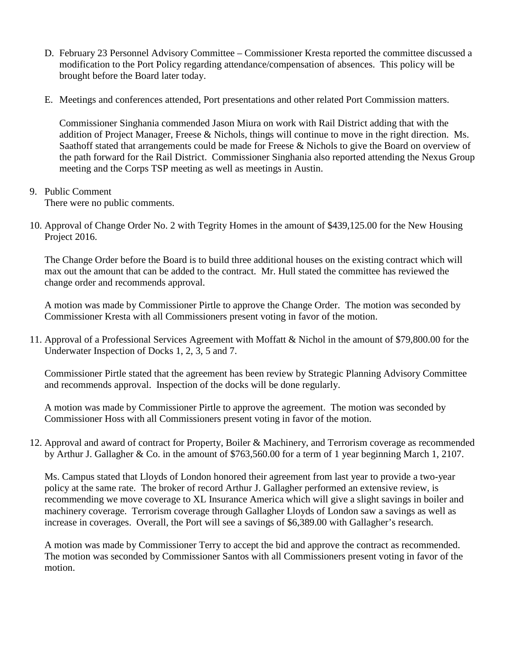- D. February 23 Personnel Advisory Committee Commissioner Kresta reported the committee discussed a modification to the Port Policy regarding attendance/compensation of absences. This policy will be brought before the Board later today.
- E. Meetings and conferences attended, Port presentations and other related Port Commission matters.

Commissioner Singhania commended Jason Miura on work with Rail District adding that with the addition of Project Manager, Freese & Nichols, things will continue to move in the right direction. Ms. Saathoff stated that arrangements could be made for Freese & Nichols to give the Board on overview of the path forward for the Rail District. Commissioner Singhania also reported attending the Nexus Group meeting and the Corps TSP meeting as well as meetings in Austin.

## 9. Public Comment

There were no public comments.

10. Approval of Change Order No. 2 with Tegrity Homes in the amount of \$439,125.00 for the New Housing Project 2016.

The Change Order before the Board is to build three additional houses on the existing contract which will max out the amount that can be added to the contract. Mr. Hull stated the committee has reviewed the change order and recommends approval.

A motion was made by Commissioner Pirtle to approve the Change Order. The motion was seconded by Commissioner Kresta with all Commissioners present voting in favor of the motion.

11. Approval of a Professional Services Agreement with Moffatt & Nichol in the amount of \$79,800.00 for the Underwater Inspection of Docks 1, 2, 3, 5 and 7.

Commissioner Pirtle stated that the agreement has been review by Strategic Planning Advisory Committee and recommends approval. Inspection of the docks will be done regularly.

A motion was made by Commissioner Pirtle to approve the agreement. The motion was seconded by Commissioner Hoss with all Commissioners present voting in favor of the motion.

12. Approval and award of contract for Property, Boiler & Machinery, and Terrorism coverage as recommended by Arthur J. Gallagher & Co. in the amount of \$763,560.00 for a term of 1 year beginning March 1, 2107.

Ms. Campus stated that Lloyds of London honored their agreement from last year to provide a two-year policy at the same rate. The broker of record Arthur J. Gallagher performed an extensive review, is recommending we move coverage to XL Insurance America which will give a slight savings in boiler and machinery coverage. Terrorism coverage through Gallagher Lloyds of London saw a savings as well as increase in coverages. Overall, the Port will see a savings of \$6,389.00 with Gallagher's research.

A motion was made by Commissioner Terry to accept the bid and approve the contract as recommended. The motion was seconded by Commissioner Santos with all Commissioners present voting in favor of the motion.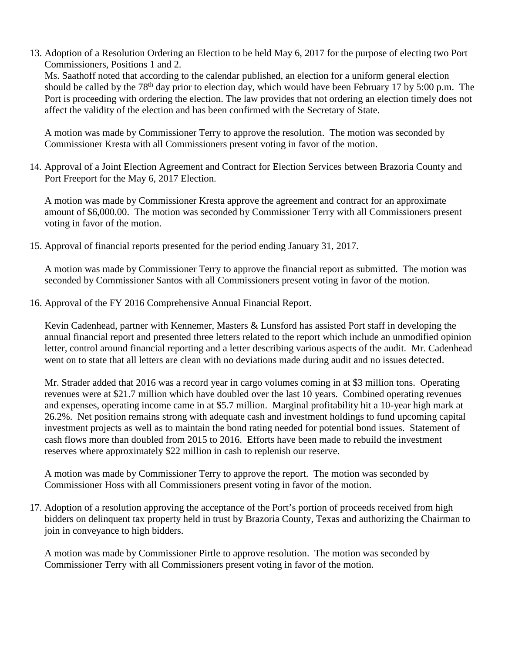13. Adoption of a Resolution Ordering an Election to be held May 6, 2017 for the purpose of electing two Port Commissioners, Positions 1 and 2. Ms. Saathoff noted that according to the calendar published, an election for a uniform general election should be called by the 78<sup>th</sup> day prior to election day, which would have been February 17 by 5:00 p.m. The Port is proceeding with ordering the election. The law provides that not ordering an election timely does not

A motion was made by Commissioner Terry to approve the resolution. The motion was seconded by Commissioner Kresta with all Commissioners present voting in favor of the motion.

affect the validity of the election and has been confirmed with the Secretary of State.

14. Approval of a Joint Election Agreement and Contract for Election Services between Brazoria County and Port Freeport for the May 6, 2017 Election.

A motion was made by Commissioner Kresta approve the agreement and contract for an approximate amount of \$6,000.00. The motion was seconded by Commissioner Terry with all Commissioners present voting in favor of the motion.

15. Approval of financial reports presented for the period ending January 31, 2017.

A motion was made by Commissioner Terry to approve the financial report as submitted. The motion was seconded by Commissioner Santos with all Commissioners present voting in favor of the motion.

16. Approval of the FY 2016 Comprehensive Annual Financial Report.

Kevin Cadenhead, partner with Kennemer, Masters & Lunsford has assisted Port staff in developing the annual financial report and presented three letters related to the report which include an unmodified opinion letter, control around financial reporting and a letter describing various aspects of the audit. Mr. Cadenhead went on to state that all letters are clean with no deviations made during audit and no issues detected.

Mr. Strader added that 2016 was a record year in cargo volumes coming in at \$3 million tons. Operating revenues were at \$21.7 million which have doubled over the last 10 years. Combined operating revenues and expenses, operating income came in at \$5.7 million. Marginal profitability hit a 10-year high mark at 26.2%. Net position remains strong with adequate cash and investment holdings to fund upcoming capital investment projects as well as to maintain the bond rating needed for potential bond issues. Statement of cash flows more than doubled from 2015 to 2016. Efforts have been made to rebuild the investment reserves where approximately \$22 million in cash to replenish our reserve.

A motion was made by Commissioner Terry to approve the report. The motion was seconded by Commissioner Hoss with all Commissioners present voting in favor of the motion.

17. Adoption of a resolution approving the acceptance of the Port's portion of proceeds received from high bidders on delinquent tax property held in trust by Brazoria County, Texas and authorizing the Chairman to join in conveyance to high bidders.

A motion was made by Commissioner Pirtle to approve resolution. The motion was seconded by Commissioner Terry with all Commissioners present voting in favor of the motion.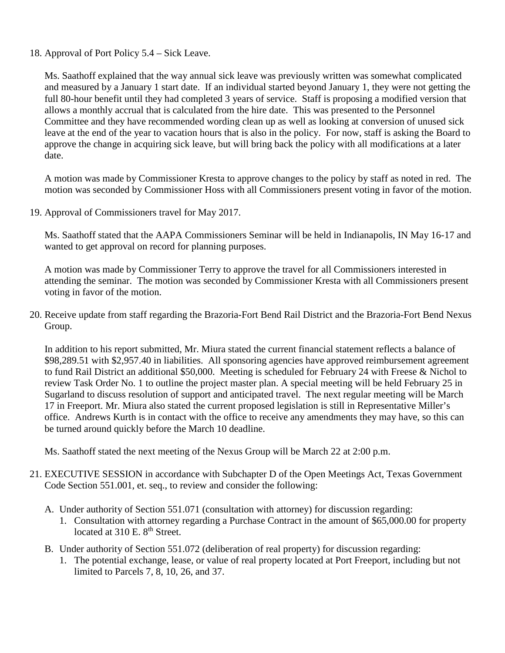18. Approval of Port Policy 5.4 – Sick Leave.

Ms. Saathoff explained that the way annual sick leave was previously written was somewhat complicated and measured by a January 1 start date. If an individual started beyond January 1, they were not getting the full 80-hour benefit until they had completed 3 years of service. Staff is proposing a modified version that allows a monthly accrual that is calculated from the hire date. This was presented to the Personnel Committee and they have recommended wording clean up as well as looking at conversion of unused sick leave at the end of the year to vacation hours that is also in the policy. For now, staff is asking the Board to approve the change in acquiring sick leave, but will bring back the policy with all modifications at a later date.

A motion was made by Commissioner Kresta to approve changes to the policy by staff as noted in red. The motion was seconded by Commissioner Hoss with all Commissioners present voting in favor of the motion.

19. Approval of Commissioners travel for May 2017.

Ms. Saathoff stated that the AAPA Commissioners Seminar will be held in Indianapolis, IN May 16-17 and wanted to get approval on record for planning purposes.

A motion was made by Commissioner Terry to approve the travel for all Commissioners interested in attending the seminar. The motion was seconded by Commissioner Kresta with all Commissioners present voting in favor of the motion.

20. Receive update from staff regarding the Brazoria-Fort Bend Rail District and the Brazoria-Fort Bend Nexus Group.

In addition to his report submitted, Mr. Miura stated the current financial statement reflects a balance of \$98,289.51 with \$2,957.40 in liabilities. All sponsoring agencies have approved reimbursement agreement to fund Rail District an additional \$50,000. Meeting is scheduled for February 24 with Freese & Nichol to review Task Order No. 1 to outline the project master plan. A special meeting will be held February 25 in Sugarland to discuss resolution of support and anticipated travel. The next regular meeting will be March 17 in Freeport. Mr. Miura also stated the current proposed legislation is still in Representative Miller's office. Andrews Kurth is in contact with the office to receive any amendments they may have, so this can be turned around quickly before the March 10 deadline.

Ms. Saathoff stated the next meeting of the Nexus Group will be March 22 at 2:00 p.m.

- 21. EXECUTIVE SESSION in accordance with Subchapter D of the Open Meetings Act, Texas Government Code Section 551.001, et. seq., to review and consider the following:
	- A. Under authority of Section 551.071 (consultation with attorney) for discussion regarding:
		- 1. Consultation with attorney regarding a Purchase Contract in the amount of \$65,000.00 for property located at 310 E. 8<sup>th</sup> Street.
	- B. Under authority of Section 551.072 (deliberation of real property) for discussion regarding:
		- 1. The potential exchange, lease, or value of real property located at Port Freeport, including but not limited to Parcels 7, 8, 10, 26, and 37.